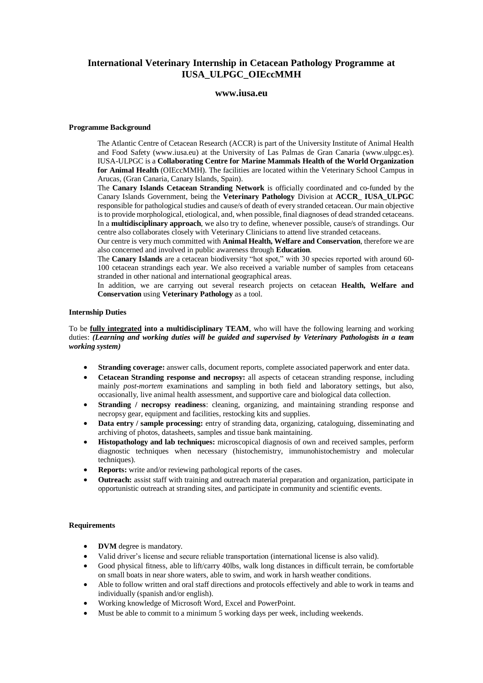# **International Veterinary Internship in Cetacean Pathology Programme at IUSA\_ULPGC\_OIEccMMH**

## **www.iusa.eu**

#### **Programme Background**

The Atlantic Centre of Cetacean Research (ACCR) is part of the University Institute of Animal Health and Food Safety (www.iusa.eu) at the University of Las Palmas de Gran Canaria (www.ulpgc.es). IUSA-ULPGC is a **Collaborating Centre for Marine Mammals Health of the World Organization for Animal Health** (OIEccMMH). The facilities are located within the Veterinary School Campus in Arucas, (Gran Canaria, Canary Islands, Spain).

The **Canary Islands Cetacean Stranding Network** is officially coordinated and co-funded by the Canary Islands Government, being the **Veterinary Pathology** Division at **ACCR\_ IUSA\_ULPGC** responsible for pathological studies and cause/s of death of every stranded cetacean. Our main objective is to provide morphological, etiological, and, when possible, final diagnoses of dead stranded cetaceans. In a **multidisciplinary approach**, we also try to define, whenever possible, cause/s of strandings. Our centre also collaborates closely with Veterinary Clinicians to attend live stranded cetaceans.

Our centre is very much committed with **Animal Health, Welfare and Conservation**, therefore we are also concerned and involved in public awareness through **Education**.

The **Canary Islands** are a cetacean biodiversity "hot spot," with 30 species reported with around 60-100 cetacean strandings each year. We also received a variable number of samples from cetaceans stranded in other national and international geographical areas.

In addition, we are carrying out several research projects on cetacean **Health, Welfare and Conservation** using **Veterinary Pathology** as a tool.

#### **Internship Duties**

To be **fully integrated into a multidisciplinary TEAM**, who will have the following learning and working duties: *(Learning and working duties will be guided and supervised by Veterinary Pathologists in a team working system)*

- **Stranding coverage:** answer calls, document reports, complete associated paperwork and enter data.
- **Cetacean Stranding response and necropsy:** all aspects of cetacean stranding response, including mainly *post-mortem* examinations and sampling in both field and laboratory settings, but also, occasionally, live animal health assessment, and supportive care and biological data collection.
- **Stranding / necropsy readiness:** cleaning, organizing, and maintaining stranding response and necropsy gear, equipment and facilities, restocking kits and supplies.
- **Data entry / sample processing:** entry of stranding data, organizing, cataloguing, disseminating and archiving of photos, datasheets, samples and tissue bank maintaining.
- **Histopathology and lab techniques:** microscopical diagnosis of own and received samples, perform diagnostic techniques when necessary (histochemistry, immunohistochemistry and molecular techniques).
- **Reports:** write and/or reviewing pathological reports of the cases.
- **Outreach:** assist staff with training and outreach material preparation and organization, participate in opportunistic outreach at stranding sites, and participate in community and scientific events.

#### **Requirements**

- **DVM** degree is mandatory.
- Valid driver's license and secure reliable transportation (international license is also valid).
- Good physical fitness, able to lift/carry 40lbs, walk long distances in difficult terrain, be comfortable on small boats in near shore waters, able to swim, and work in harsh weather conditions.
- Able to follow written and oral staff directions and protocols effectively and able to work in teams and individually (spanish and/or english).
- Working knowledge of Microsoft Word, Excel and PowerPoint.
- Must be able to commit to a minimum 5 working days per week, including weekends.